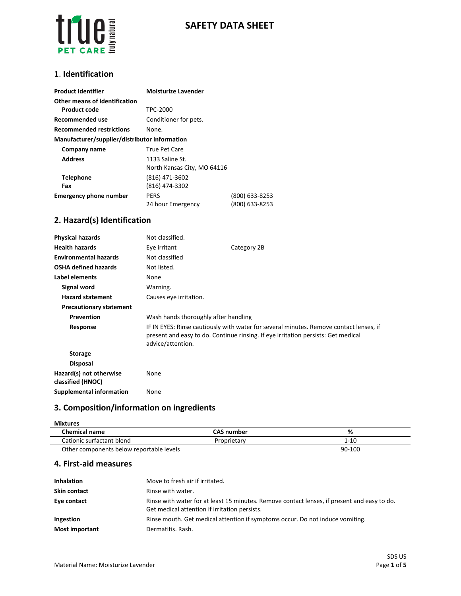

## **SAFETY DATA SHEET**

#### **1**. **Identification**

| <b>Product Identifier</b>                     | <b>Moisturize Lavender</b>                     |                                  |
|-----------------------------------------------|------------------------------------------------|----------------------------------|
| Other means of identification                 |                                                |                                  |
| <b>Product code</b>                           | TPC-2000                                       |                                  |
| Recommended use                               | Conditioner for pets.                          |                                  |
| <b>Recommended restrictions</b>               | None.                                          |                                  |
| Manufacturer/supplier/distributor information |                                                |                                  |
| Company name                                  | <b>True Pet Care</b>                           |                                  |
| <b>Address</b>                                | 1133 Saline St.<br>North Kansas City, MO 64116 |                                  |
| <b>Telephone</b><br>Fax                       | (816) 471-3602<br>(816) 474-3302               |                                  |
| <b>Emergency phone number</b>                 | <b>PERS</b><br>24 hour Emergency               | (800) 633-8253<br>(800) 633-8253 |

## **2. Hazard(s) Identification**

| <b>Physical hazards</b>                      | Not classified.                                                                                                                                                                                  |             |
|----------------------------------------------|--------------------------------------------------------------------------------------------------------------------------------------------------------------------------------------------------|-------------|
| <b>Health hazards</b>                        | Eye irritant                                                                                                                                                                                     | Category 2B |
| <b>Environmental hazards</b>                 | Not classified                                                                                                                                                                                   |             |
| <b>OSHA defined hazards</b>                  | Not listed.                                                                                                                                                                                      |             |
| Label elements                               | None                                                                                                                                                                                             |             |
| Signal word                                  | Warning.                                                                                                                                                                                         |             |
| <b>Hazard statement</b>                      | Causes eye irritation.                                                                                                                                                                           |             |
| <b>Precautionary statement</b>               |                                                                                                                                                                                                  |             |
| <b>Prevention</b>                            | Wash hands thoroughly after handling                                                                                                                                                             |             |
| Response                                     | IF IN EYES: Rinse cautiously with water for several minutes. Remove contact lenses, if<br>present and easy to do. Continue rinsing. If eye irritation persists: Get medical<br>advice/attention. |             |
| <b>Storage</b>                               |                                                                                                                                                                                                  |             |
| <b>Disposal</b>                              |                                                                                                                                                                                                  |             |
| Hazard(s) not otherwise<br>classified (HNOC) | None                                                                                                                                                                                             |             |
| Supplemental information                     | None                                                                                                                                                                                             |             |

## **3. Composition/information on ingredients**

#### **Mixtures**

| <b>Chemical name</b>                     | CAS number  | %        |
|------------------------------------------|-------------|----------|
| Cationic surfactant blend                | Proprietary | $1 - 10$ |
| Other components below reportable levels |             | 90-100   |

### **4. First-aid measures**

| <b>Inhalation</b>     | Move to fresh air if irritated.                                                                                                              |
|-----------------------|----------------------------------------------------------------------------------------------------------------------------------------------|
| <b>Skin contact</b>   | Rinse with water.                                                                                                                            |
| Eye contact           | Rinse with water for at least 15 minutes. Remove contact lenses, if present and easy to do.<br>Get medical attention if irritation persists. |
| Ingestion             | Rinse mouth. Get medical attention if symptoms occur. Do not induce vomiting.                                                                |
| <b>Most important</b> | Dermatitis, Rash.                                                                                                                            |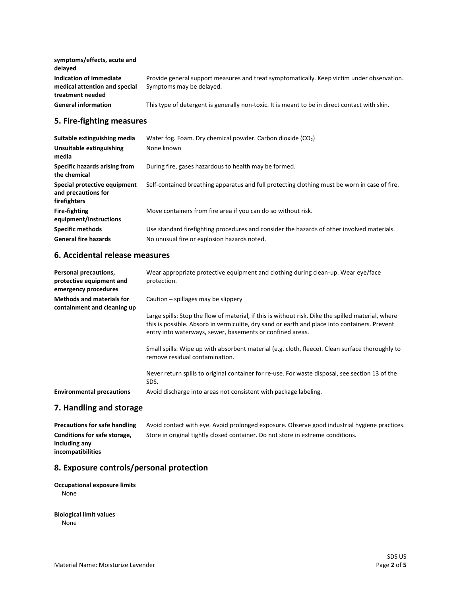| symptoms/effects, acute and<br>delayed                                       |                                                                                                                        |
|------------------------------------------------------------------------------|------------------------------------------------------------------------------------------------------------------------|
| Indication of immediate<br>medical attention and special<br>treatment needed | Provide general support measures and treat symptomatically. Keep victim under observation.<br>Symptoms may be delayed. |
| <b>General information</b>                                                   | This type of detergent is generally non-toxic. It is meant to be in direct contact with skin.                          |

## **5. Fire-fighting measures**

| Suitable extinguishing media                                        | Water fog. Foam. Dry chemical powder. Carbon dioxide $(CO_2)$                                 |
|---------------------------------------------------------------------|-----------------------------------------------------------------------------------------------|
| Unsuitable extinguishing<br>media                                   | None known                                                                                    |
| Specific hazards arising from<br>the chemical                       | During fire, gases hazardous to health may be formed.                                         |
| Special protective equipment<br>and precautions for<br>firefighters | Self-contained breathing apparatus and full protecting clothing must be worn in case of fire. |
| <b>Fire-fighting</b><br>equipment/instructions                      | Move containers from fire area if you can do so without risk.                                 |
| <b>Specific methods</b>                                             | Use standard firefighting procedures and consider the hazards of other involved materials.    |
| <b>General fire hazards</b>                                         | No unusual fire or explosion hazards noted.                                                   |

### **6. Accidental release measures**

| Personal precautions,<br>protective equipment and<br>emergency procedures | Wear appropriate protective equipment and clothing during clean-up. Wear eye/face<br>protection.                                                                                                                                                                 |
|---------------------------------------------------------------------------|------------------------------------------------------------------------------------------------------------------------------------------------------------------------------------------------------------------------------------------------------------------|
| <b>Methods and materials for</b><br>containment and cleaning up           | Caution $-$ spillages may be slippery                                                                                                                                                                                                                            |
|                                                                           | Large spills: Stop the flow of material, if this is without risk. Dike the spilled material, where<br>this is possible. Absorb in vermiculite, dry sand or earth and place into containers. Prevent<br>entry into waterways, sewer, basements or confined areas. |
|                                                                           | Small spills: Wipe up with absorbent material (e.g. cloth, fleece). Clean surface thoroughly to<br>remove residual contamination.                                                                                                                                |
|                                                                           | Never return spills to original container for re-use. For waste disposal, see section 13 of the<br>SDS.                                                                                                                                                          |
| <b>Environmental precautions</b>                                          | Avoid discharge into areas not consistent with package labeling.                                                                                                                                                                                                 |
| 7. Handling and storage                                                   |                                                                                                                                                                                                                                                                  |

Precautions for safe handling Avoid contact with eye. Avoid prolonged exposure. Observe good industrial hygiene practices. **Conditions for safe storage, including any incompatibilities** Store in original tightly closed container. Do not store in extreme conditions.

### **8. Exposure controls/personal protection**

#### **Occupational exposure limits** None

**Biological limit values**

None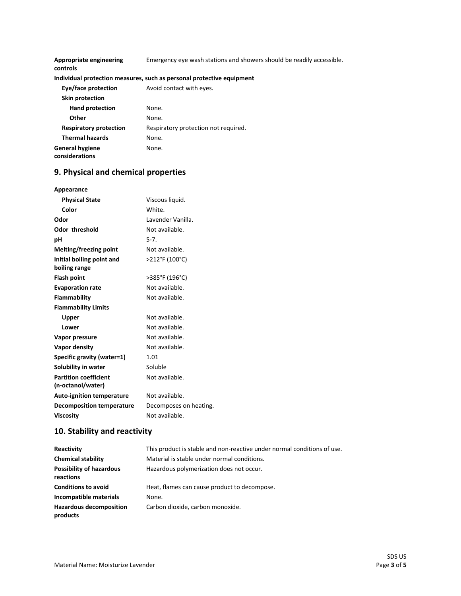| Appropriate engineering<br>controls      | Emergency eye wash stations and showers should be readily accessible. |
|------------------------------------------|-----------------------------------------------------------------------|
|                                          | Individual protection measures, such as personal protective equipment |
| Eye/face protection                      | Avoid contact with eyes.                                              |
| Skin protection                          |                                                                       |
| <b>Hand protection</b>                   | None.                                                                 |
| Other                                    | None.                                                                 |
| <b>Respiratory protection</b>            | Respiratory protection not required.                                  |
| <b>Thermal hazards</b>                   | None.                                                                 |
| <b>General hygiene</b><br>considerations | None.                                                                 |

# **9. Physical and chemical properties**

| Appearance                       |                        |
|----------------------------------|------------------------|
| <b>Physical State</b>            | Viscous liquid.        |
| Color                            | White.                 |
| Odor                             | Lavender Vanilla.      |
| <b>Odor threshold</b>            | Not available.         |
| рH                               | $5-7.$                 |
| Melting/freezing point           | Not available.         |
| Initial boiling point and        | >212°F (100°C)         |
| boiling range                    |                        |
| <b>Flash point</b>               | >385°F (196°C)         |
| <b>Evaporation rate</b>          | Not available.         |
| Flammability                     | Not available.         |
| <b>Flammability Limits</b>       |                        |
| <b>Upper</b>                     | Not available.         |
| Lower                            | Not available.         |
| Vapor pressure                   | Not available.         |
| Vapor density                    | Not available.         |
| Specific gravity (water=1)       | 1.01                   |
| Solubility in water              | Soluble                |
| <b>Partition coefficient</b>     | Not available.         |
| (n-octanol/water)                |                        |
| <b>Auto-ignition temperature</b> | Not available.         |
| <b>Decomposition temperature</b> | Decomposes on heating. |
| <b>Viscosity</b>                 | Not available.         |

## **10. Stability and reactivity**

| Reactivity                                   | This product is stable and non-reactive under normal conditions of use. |
|----------------------------------------------|-------------------------------------------------------------------------|
| <b>Chemical stability</b>                    | Material is stable under normal conditions.                             |
| <b>Possibility of hazardous</b><br>reactions | Hazardous polymerization does not occur.                                |
| <b>Conditions to avoid</b>                   | Heat, flames can cause product to decompose.                            |
| Incompatible materials                       | None.                                                                   |
| <b>Hazardous decomposition</b><br>products   | Carbon dioxide, carbon monoxide.                                        |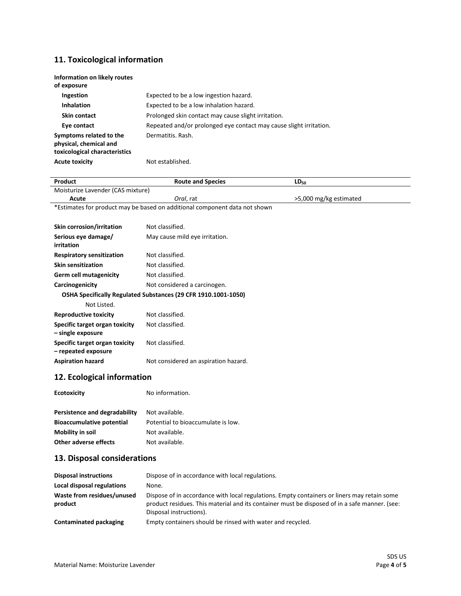## **11. Toxicological information**

| Information on likely routes<br>of exposure                                        |                                                                    |
|------------------------------------------------------------------------------------|--------------------------------------------------------------------|
| Ingestion                                                                          | Expected to be a low ingestion hazard.                             |
| <b>Inhalation</b>                                                                  | Expected to be a low inhalation hazard.                            |
| Skin contact                                                                       | Prolonged skin contact may cause slight irritation.                |
| Eye contact                                                                        | Repeated and/or prolonged eye contact may cause slight irritation. |
| Symptoms related to the<br>physical, chemical and<br>toxicological characteristics | Dermatitis, Rash.                                                  |
| <b>Acute toxicity</b>                                                              | Not established.                                                   |

| Product                                               | <b>Route and Species</b>                                                   | $LD_{50}$              |  |
|-------------------------------------------------------|----------------------------------------------------------------------------|------------------------|--|
| Moisturize Lavender (CAS mixture)                     |                                                                            |                        |  |
| Acute                                                 | Oral, rat                                                                  | >5,000 mg/kg estimated |  |
|                                                       | *Estimates for product may be based on additional component data not shown |                        |  |
|                                                       |                                                                            |                        |  |
| Skin corrosion/irritation                             | Not classified.                                                            |                        |  |
| Serious eye damage/<br>irritation                     | May cause mild eye irritation.                                             |                        |  |
| <b>Respiratory sensitization</b>                      | Not classified.                                                            |                        |  |
| <b>Skin sensitization</b>                             | Not classified.                                                            |                        |  |
| <b>Germ cell mutagenicity</b>                         | Not classified.                                                            |                        |  |
| Carcinogenicity                                       | Not considered a carcinogen.                                               |                        |  |
|                                                       | OSHA Specifically Regulated Substances (29 CFR 1910.1001-1050)             |                        |  |
| Not Listed.                                           |                                                                            |                        |  |
| <b>Reproductive toxicity</b>                          | Not classified.                                                            |                        |  |
| Specific target organ toxicity<br>- single exposure   | Not classified.                                                            |                        |  |
| Specific target organ toxicity<br>- repeated exposure | Not classified.                                                            |                        |  |
| <b>Aspiration hazard</b>                              | Not considered an aspiration hazard.                                       |                        |  |
| 12. Ecological information                            |                                                                            |                        |  |
| <b>Ecotoxicity</b>                                    | No information.                                                            |                        |  |
| Persistence and degradability                         | Not available.                                                             |                        |  |
| <b>Bioaccumulative potential</b>                      | Potential to bioaccumulate is low.                                         |                        |  |

| <b>Other adverse effects</b> | Not available. |  |
|------------------------------|----------------|--|
|                              |                |  |

**Mobility in soil** Not available.

## **13. Disposal considerations**

| <b>Disposal instructions</b>          | Dispose of in accordance with local regulations.                                                                                                                                                                        |
|---------------------------------------|-------------------------------------------------------------------------------------------------------------------------------------------------------------------------------------------------------------------------|
| Local disposal regulations            | None.                                                                                                                                                                                                                   |
| Waste from residues/unused<br>product | Dispose of in accordance with local regulations. Empty containers or liners may retain some<br>product residues. This material and its container must be disposed of in a safe manner. (see:<br>Disposal instructions). |
| Contaminated packaging                | Empty containers should be rinsed with water and recycled.                                                                                                                                                              |